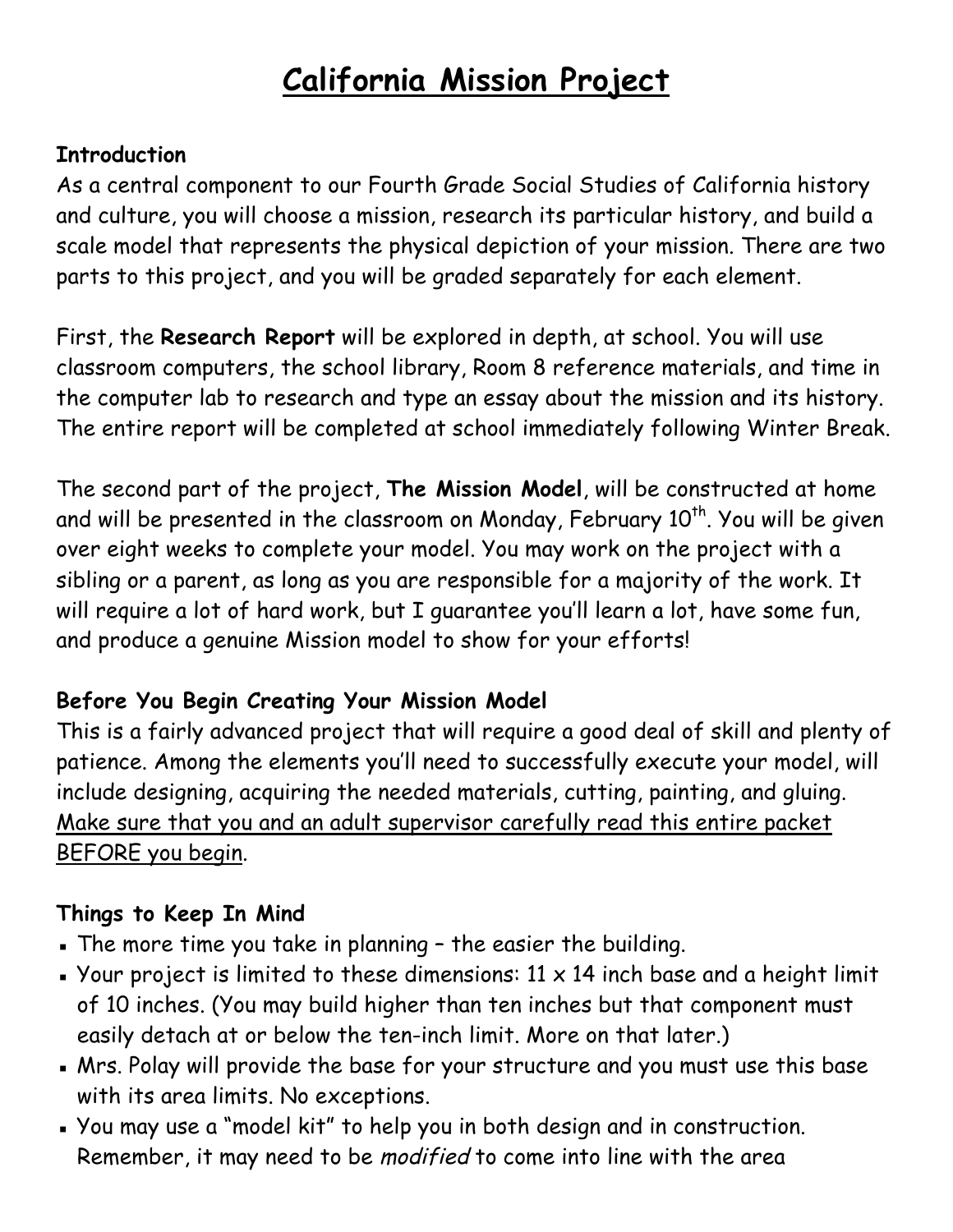# **California Mission Project**

#### **Introduction**

As a central component to our Fourth Grade Social Studies of California history and culture, you will choose a mission, research its particular history, and build a scale model that represents the physical depiction of your mission. There are two parts to this project, and you will be graded separately for each element.

First, the **Research Report** will be explored in depth, at school. You will use classroom computers, the school library, Room 8 reference materials, and time in the computer lab to research and type an essay about the mission and its history. The entire report will be completed at school immediately following Winter Break.

The second part of the project, **The Mission Model**, will be constructed at home and will be presented in the classroom on Monday, February  $10^{th}$ . You will be given over eight weeks to complete your model. You may work on the project with a sibling or a parent, as long as you are responsible for a majority of the work. It will require a lot of hard work, but I guarantee you'll learn a lot, have some fun, and produce a genuine Mission model to show for your efforts!

### **Before You Begin Creating Your Mission Model**

This is a fairly advanced project that will require a good deal of skill and plenty of patience. Among the elements you'll need to successfully execute your model, will include designing, acquiring the needed materials, cutting, painting, and gluing. Make sure that you and an adult supervisor carefully read this entire packet BEFORE you begin.

### **Things to Keep In Mind**

- . The more time you take in planning the easier the building.
- **Your project is limited to these dimensions: 11**  $\times$  **14 inch base and a height limit** of 10 inches. (You may build higher than ten inches but that component must easily detach at or below the ten-inch limit. More on that later.)
- . Mrs. Polay will provide the base for your structure and you must use this base with its area limits. No exceptions.
- You may use a "model kit" to help you in both design and in construction. Remember, it may need to be modified to come into line with the area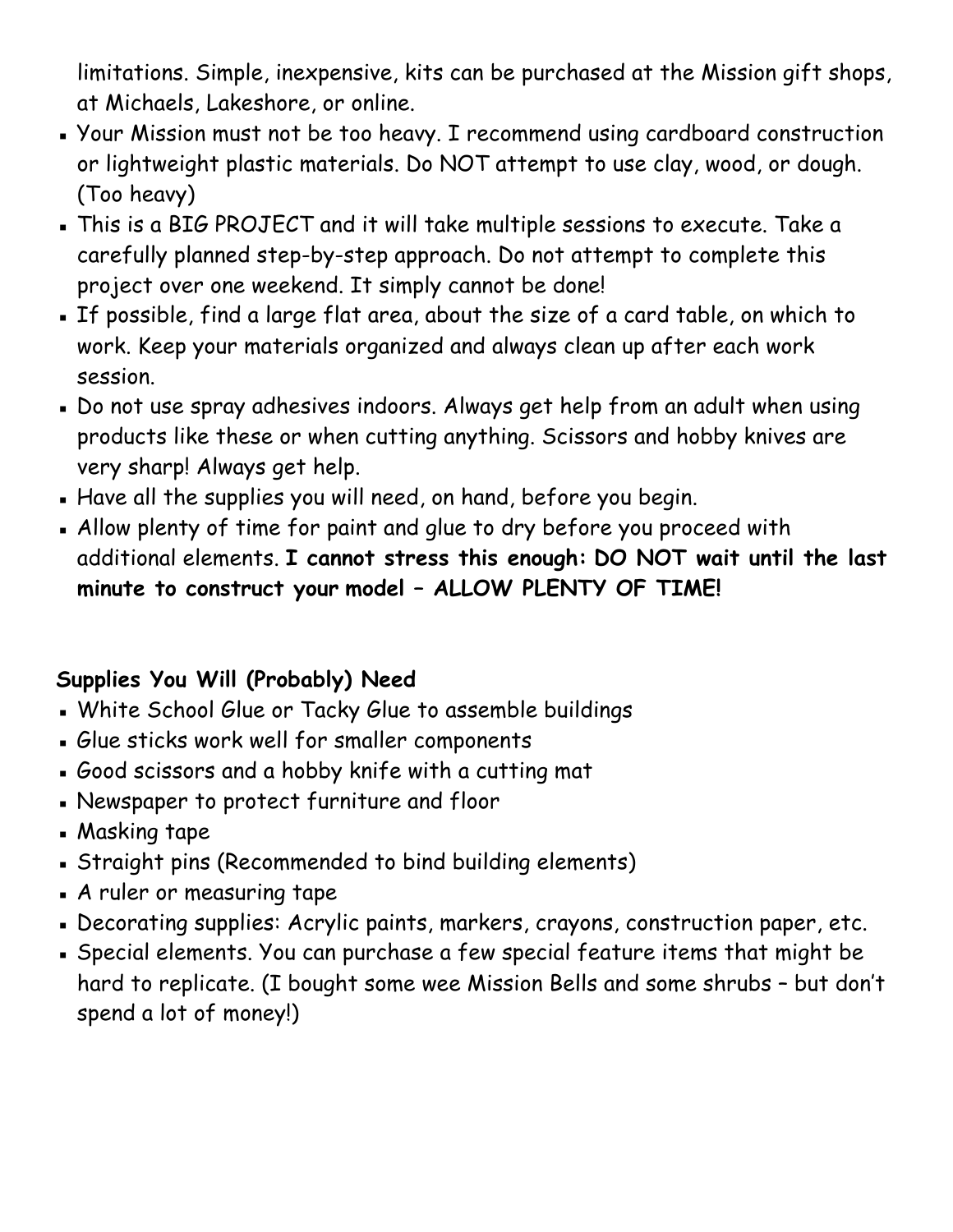limitations. Simple, inexpensive, kits can be purchased at the Mission gift shops, at Michaels, Lakeshore, or online.

- Your Mission must not be too heavy. I recommend using cardboard construction or lightweight plastic materials. Do NOT attempt to use clay, wood, or dough. (Too heavy)
- This is a BIG PROJECT and it will take multiple sessions to execute. Take a carefully planned step-by-step approach. Do not attempt to complete this project over one weekend. It simply cannot be done!
- If possible, find a large flat area, about the size of a card table, on which to work. Keep your materials organized and always clean up after each work session.
- . Do not use spray adhesives indoors. Always get help from an adult when using products like these or when cutting anything. Scissors and hobby knives are very sharp! Always get help.
- . Have all the supplies you will need, on hand, before you begin.
- . Allow plenty of time for paint and glue to dry before you proceed with additional elements. **I cannot stress this enough: DO NOT wait until the last minute to construct your model – ALLOW PLENTY OF TIME!**

# **Supplies You Will (Probably) Need**

- . White School Glue or Tacky Glue to assemble buildings
- Glue sticks work well for smaller components
- Good scissors and a hobby knife with a cutting mat
- Newspaper to protect furniture and floor
- **Masking tape**
- Straight pins (Recommended to bind building elements)
- A ruler or measuring tape
- Decorating supplies: Acrylic paints, markers, crayons, construction paper, etc.
- Special elements. You can purchase a few special feature items that might be hard to replicate. (I bought some wee Mission Bells and some shrubs – but don't spend a lot of money!)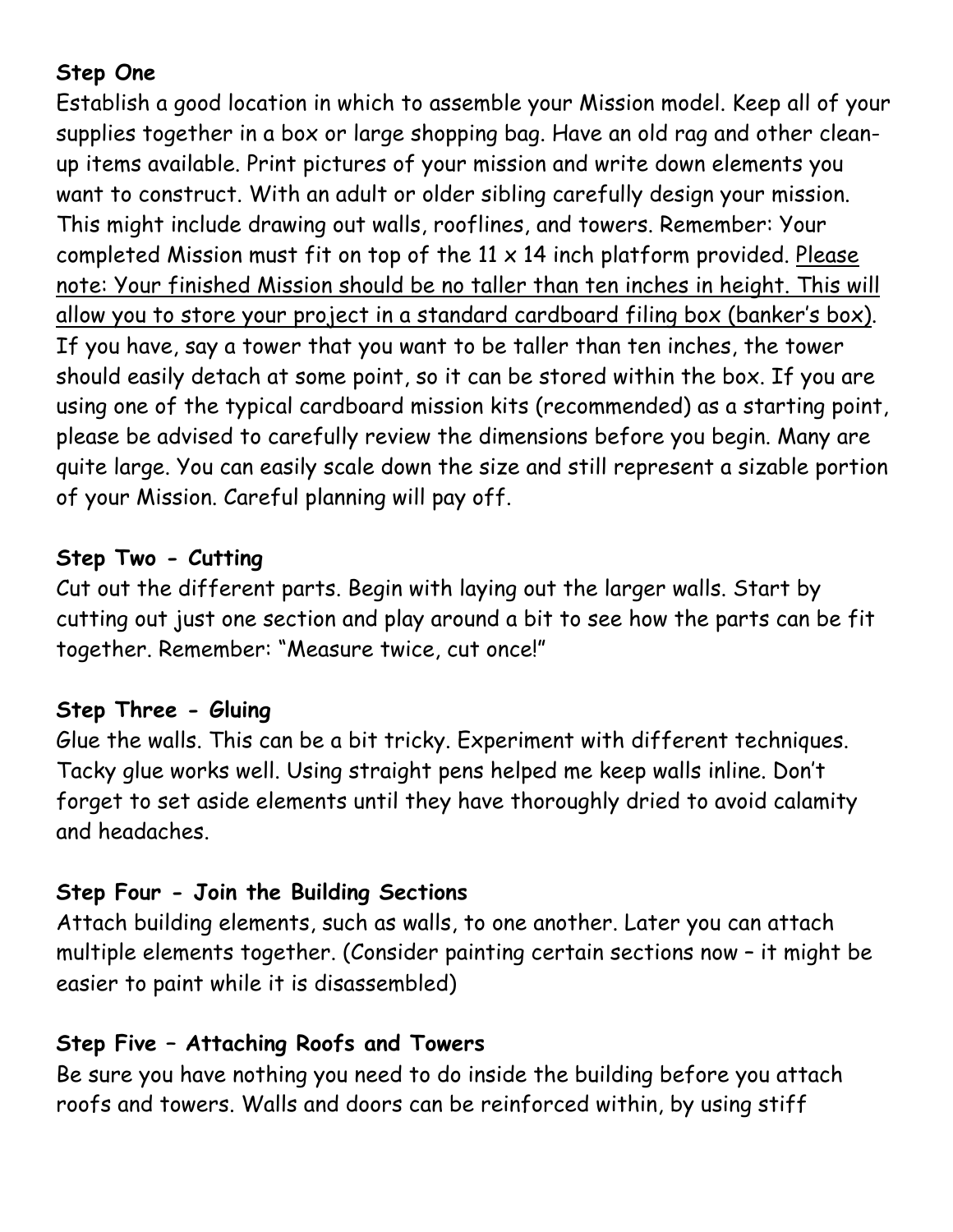# **Step One**

Establish a good location in which to assemble your Mission model. Keep all of your supplies together in a box or large shopping bag. Have an old rag and other cleanup items available. Print pictures of your mission and write down elements you want to construct. With an adult or older sibling carefully design your mission. This might include drawing out walls, rooflines, and towers. Remember: Your completed Mission must fit on top of the  $11 \times 14$  inch platform provided. Please note: Your finished Mission should be no taller than ten inches in height. This will allow you to store your project in a standard cardboard filing box (banker's box). If you have, say a tower that you want to be taller than ten inches, the tower should easily detach at some point, so it can be stored within the box. If you are using one of the typical cardboard mission kits (recommended) as a starting point, please be advised to carefully review the dimensions before you begin. Many are quite large. You can easily scale down the size and still represent a sizable portion of your Mission. Careful planning will pay off.

## **Step Two - Cutting**

Cut out the different parts. Begin with laying out the larger walls. Start by cutting out just one section and play around a bit to see how the parts can be fit together. Remember: "Measure twice, cut once!"

## **Step Three - Gluing**

Glue the walls. This can be a bit tricky. Experiment with different techniques. Tacky glue works well. Using straight pens helped me keep walls inline. Don't forget to set aside elements until they have thoroughly dried to avoid calamity and headaches.

# **Step Four - Join the Building Sections**

Attach building elements, such as walls, to one another. Later you can attach multiple elements together. (Consider painting certain sections now – it might be easier to paint while it is disassembled)

# **Step Five – Attaching Roofs and Towers**

Be sure you have nothing you need to do inside the building before you attach roofs and towers. Walls and doors can be reinforced within, by using stiff